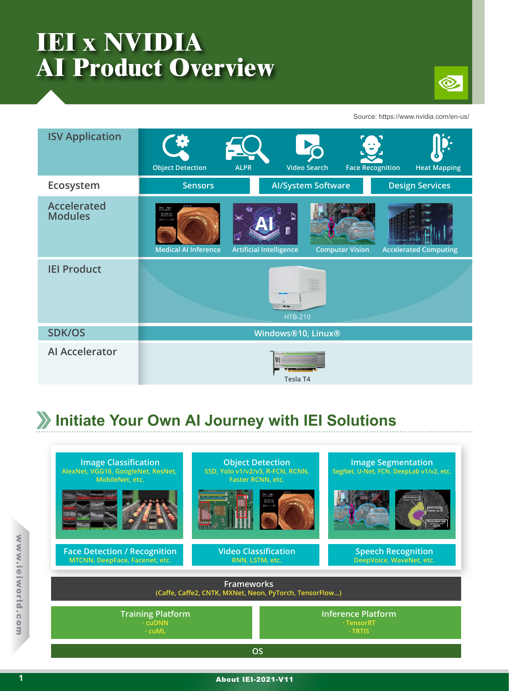# **IEI x NVIDIA AI Product Overview**



Source: https://www.nvidia.com/en-us/

| <b>ISV Application</b>               | <b>Object Detection</b>                                                                                            | <b>ALPR</b>                                 | <b>Video Search</b>       | $\mathbf{w}_i$<br><b>Face Recognition</b><br><b>Heat Mapping</b> |
|--------------------------------------|--------------------------------------------------------------------------------------------------------------------|---------------------------------------------|---------------------------|------------------------------------------------------------------|
| Ecosystem                            | <b>Sensors</b>                                                                                                     |                                             | <b>Al/System Software</b> | <b>Design Services</b>                                           |
| <b>Accelerated</b><br><b>Modules</b> | Nane :<br>Sex   Age  <br>D.O. Birth  <br>00/06/01<br>09131104<br>$SCV$ = = = = $23$<br><b>Medical AI Inference</b> | $\rtimes$<br><b>Artificial Intelligence</b> | <b>Computer Vision</b>    | <b>Accelerated Computing</b>                                     |
| <b>IEI Product</b>                   |                                                                                                                    | 市<br>--<br><b>HTB-210</b>                   |                           |                                                                  |
| <b>SDK/OS</b>                        | Windows®10, Linux®                                                                                                 |                                             |                           |                                                                  |
| <b>Al Accelerator</b>                | Tesla T4                                                                                                           |                                             |                           |                                                                  |

#### **Initiate Your Own AI Journey with IEI Solutions**